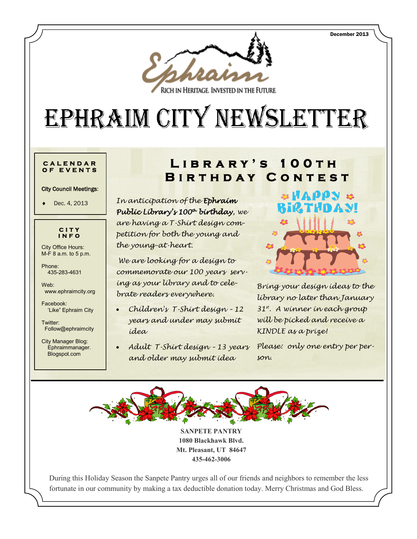

RICH IN HERITAGE. INVESTED IN THE FUTURE.

# EPHRAIM CITY NEWSLETTER

#### **C A L E N D A R O F E V E N T S**

City Council Meetings:

Dec. 4, 2013



City Office Hours: M-F 8 a.m. to 5 p.m.

Phone: 435-283-4631

Web: www.ephraimcity.org

Facebook: 'Like" Ephraim City

Twitter: Follow@ephraimcity

City Manager Blog: Ephraimmanager. Blogspot.com

# **L i b r a r y ' s 1 0 0 t h BIRTHDAY CONTEST**

*In anticipation of the Ephraim Public Library's 100th birthday, we are having a T-Shirt design competition for both the young and the young-at-heart.*

*We are looking for a design to commemorate our 100 years serving as your library and to celebrate readers everywhere.*

- *Children's T-Shirt design – 12 years and under may submit idea*
- *Adult T-Shirt design – 13 years and older may submit idea*



*Bring your design ideas to the library no later than January 31st. A winner in each group will be picked and receive a KINDLE as a prize!*

*Please: only one entry per person.*



**SANPETE PANTRY 1080 Blackhawk Blvd. Mt. Pleasant, UT 84647 435-462-3006**

During this Holiday Season the Sanpete Pantry urges all of our friends and neighbors to remember the less fortunate in our community by making a tax deductible donation today. Merry Christmas and God Bless.